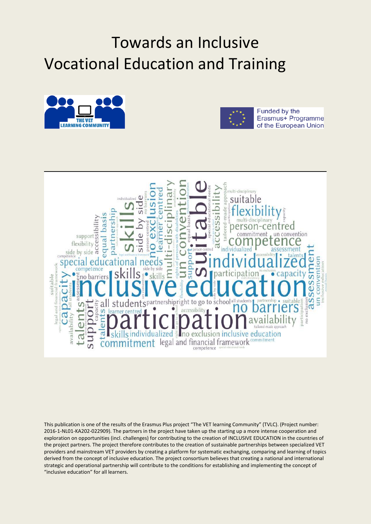## Towards an Inclusive Vocational Education and Training





Funded by the Erasmus+ Programme of the European Union



This publication is one of the results of the Erasmus Plus project "The VET learning Community" (TVLC). (Project number: 2016-1-NL01-KA202-022909). The partners in the project have taken up the starting up a more intense cooperation and exploration on opportunities (incl. challenges) for contributing to the creation of INCLUSIVE EDUCATION in the countries of the project partners. The project therefore contributes to the creation of sustainable partnerships between specialized VET providers and mainstream VET providers by creating a platform for systematic exchanging, comparing and learning of topics derived from the concept of inclusive education. The project consortium believes that creating a national and international strategic and operational partnership will contribute to the conditions for establishing and implementing the concept of "inclusive education" for all learners.